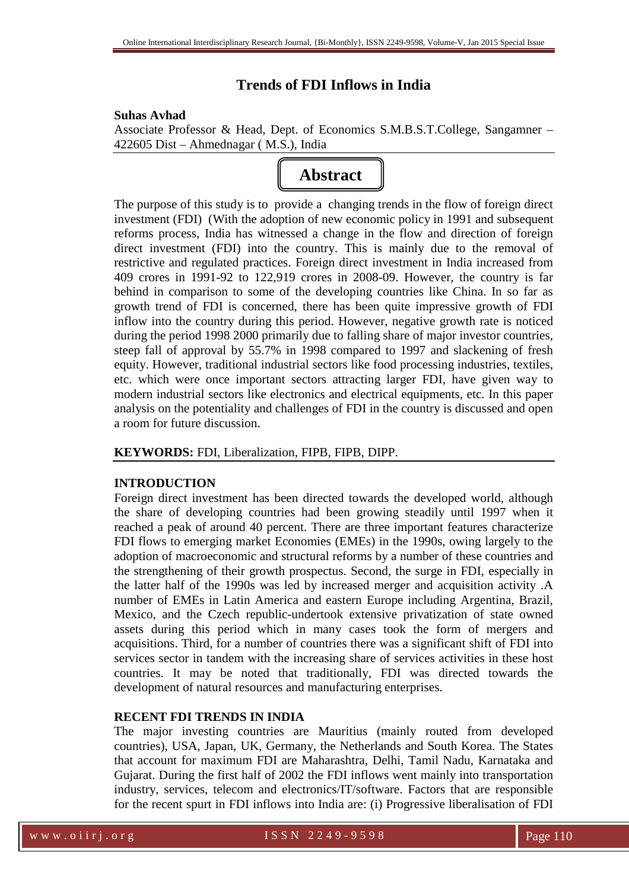# **Trends of FDI Inflows in India**

## **Suhas Avhad**

Associate Professor & Head, Dept. of Economics S.M.B.S.T.College, Sangamner – 422605 Dist – Ahmednagar ( M.S.), India



The purpose of this study is to provide a changing trends in the flow of foreign direct investment (FDI) (With the adoption of new economic policy in 1991 and subsequent reforms process, India has witnessed a change in the flow and direction of foreign direct investment (FDI) into the country. This is mainly due to the removal of restrictive and regulated practices. Foreign direct investment in India increased from 409 crores in 1991-92 to 122,919 crores in 2008-09. However, the country is far behind in comparison to some of the developing countries like China. In so far as growth trend of FDI is concerned, there has been quite impressive growth of FDI inflow into the country during this period. However, negative growth rate is noticed during the period 1998 2000 primarily due to falling share of major investor countries, steep fall of approval by 55.7% in 1998 compared to 1997 and slackening of fresh equity. However, traditional industrial sectors like food processing industries, textiles, etc. which were once important sectors attracting larger FDI, have given way to modern industrial sectors like electronics and electrical equipments, etc. In this paper analysis on the potentiality and challenges of FDI in the country is discussed and open a room for future discussion.

## **KEYWORDS:** FDI, Liberalization, FIPB, FIPB, DIPP.

### **INTRODUCTION**

Foreign direct investment has been directed towards the developed world, although the share of developing countries had been growing steadily until 1997 when it reached a peak of around 40 percent. There are three important features characterize FDI flows to emerging market Economies (EMEs) in the 1990s, owing largely to the adoption of macroeconomic and structural reforms by a number of these countries and the strengthening of their growth prospectus. Second, the surge in FDI, especially in the latter half of the 1990s was led by increased merger and acquisition activity .A number of EMEs in Latin America and eastern Europe including Argentina, Brazil, Mexico, and the Czech republic-undertook extensive privatization of state owned assets during this period which in many cases took the form of mergers and acquisitions. Third, for a number of countries there was a significant shift of FDI into services sector in tandem with the increasing share of services activities in these host countries. It may be noted that traditionally, FDI was directed towards the development of natural resources and manufacturing enterprises.

## **RECENT FDI TRENDS IN INDIA**

The major investing countries are Mauritius (mainly routed from developed countries), USA, Japan, UK, Germany, the Netherlands and South Korea. The States that account for maximum FDI are Maharashtra, Delhi, Tamil Nadu, Karnataka and Gujarat. During the first half of 2002 the FDI inflows went mainly into transportation industry, services, telecom and electronics/IT/software. Factors that are responsible for the recent spurt in FDI inflows into India are: (i) Progressive liberalisation of FDI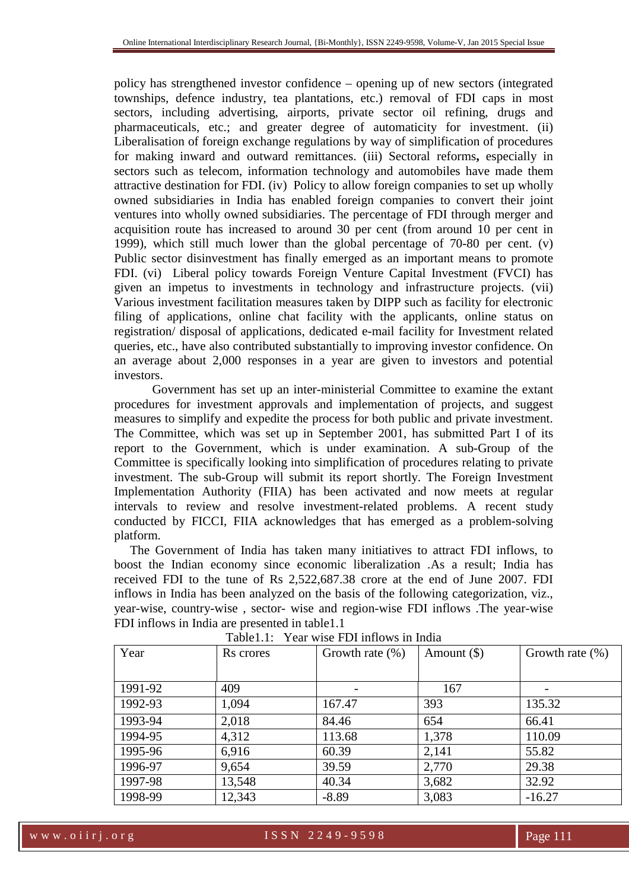policy has strengthened investor confidence – opening up of new sectors (integrated townships, defence industry, tea plantations, etc.) removal of FDI caps in most sectors, including advertising, airports, private sector oil refining, drugs and pharmaceuticals, etc.; and greater degree of automaticity for investment. (ii) Liberalisation of foreign exchange regulations by way of simplification of procedures for making inward and outward remittances. (iii) Sectoral reforms**,** especially in sectors such as telecom, information technology and automobiles have made them attractive destination for FDI. (iv) Policy to allow foreign companies to set up wholly owned subsidiaries in India has enabled foreign companies to convert their joint ventures into wholly owned subsidiaries. The percentage of FDI through merger and acquisition route has increased to around 30 per cent (from around 10 per cent in 1999), which still much lower than the global percentage of 70-80 per cent. (v) Public sector disinvestment has finally emerged as an important means to promote FDI. (vi) Liberal policy towards Foreign Venture Capital Investment (FVCI) has given an impetus to investments in technology and infrastructure projects. (vii) Various investment facilitation measures taken by DIPP such as facility for electronic filing of applications, online chat facility with the applicants, online status on registration/ disposal of applications, dedicated e-mail facility for Investment related queries, etc., have also contributed substantially to improving investor confidence. On an average about 2,000 responses in a year are given to investors and potential investors.

Government has set up an inter-ministerial Committee to examine the extant procedures for investment approvals and implementation of projects, and suggest measures to simplify and expedite the process for both public and private investment. The Committee, which was set up in September 2001, has submitted Part I of its report to the Government, which is under examination. A sub-Group of the Committee is specifically looking into simplification of procedures relating to private investment. The sub-Group will submit its report shortly. The Foreign Investment Implementation Authority (FIIA) has been activated and now meets at regular intervals to review and resolve investment-related problems. A recent study conducted by FICCI, FIIA acknowledges that has emerged as a problem-solving platform.

The Government of India has taken many initiatives to attract FDI inflows, to boost the Indian economy since economic liberalization .As a result; India has received FDI to the tune of Rs 2,522,687.38 crore at the end of June 2007. FDI inflows in India has been analyzed on the basis of the following categorization, viz., year-wise, country-wise , sector- wise and region-wise FDI inflows .The year-wise FDI inflows in India are presented in table1.1

| Year    | Rs crores | Growth rate $(\%)$ | Amount $(\$)$ | Growth rate $(\% )$ |
|---------|-----------|--------------------|---------------|---------------------|
|         |           |                    |               |                     |
| 1991-92 | 409       |                    | 167           |                     |
| 1992-93 | 1,094     | 167.47             | 393           | 135.32              |
| 1993-94 | 2,018     | 84.46              | 654           | 66.41               |
| 1994-95 | 4,312     | 113.68             | 1,378         | 110.09              |
| 1995-96 | 6,916     | 60.39              | 2,141         | 55.82               |
| 1996-97 | 9,654     | 39.59              | 2,770         | 29.38               |
| 1997-98 | 13,548    | 40.34              | 3,682         | 32.92               |
| 1998-99 | 12,343    | $-8.89$            | 3,083         | $-16.27$            |

Table1.1: Year wise FDI inflows in India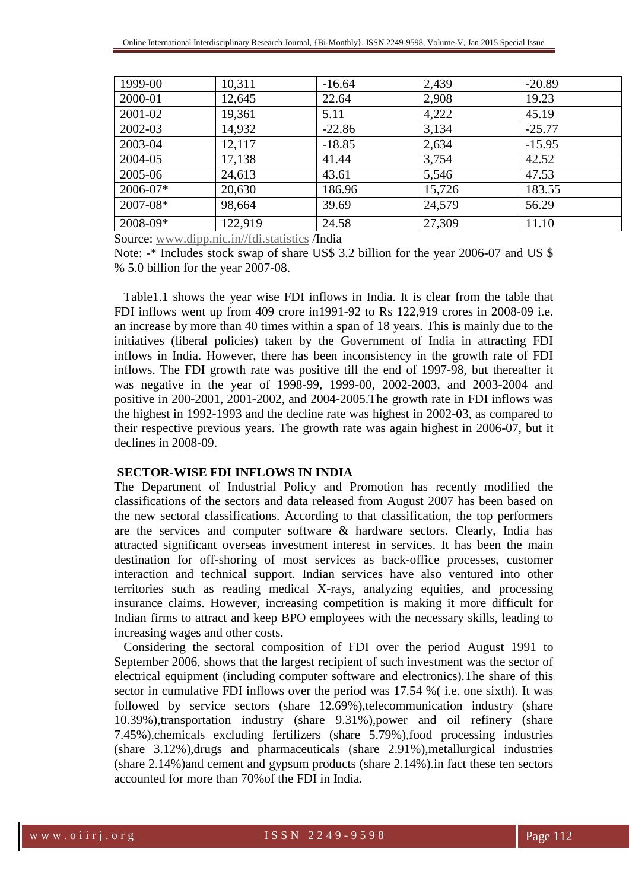| 1999-00  | 10,311  | $-16.64$ | 2,439  | $-20.89$ |
|----------|---------|----------|--------|----------|
| 2000-01  | 12,645  | 22.64    | 2,908  | 19.23    |
| 2001-02  | 19,361  | 5.11     | 4,222  | 45.19    |
| 2002-03  | 14,932  | $-22.86$ | 3,134  | $-25.77$ |
| 2003-04  | 12,117  | $-18.85$ | 2,634  | $-15.95$ |
| 2004-05  | 17,138  | 41.44    | 3,754  | 42.52    |
| 2005-06  | 24,613  | 43.61    | 5,546  | 47.53    |
| 2006-07* | 20,630  | 186.96   | 15,726 | 183.55   |
| 2007-08* | 98,664  | 39.69    | 24,579 | 56.29    |
| 2008-09* | 122,919 | 24.58    | 27,309 | 11.10    |

Source: www.dipp.nic.in//fdi.statistics /India

Note: -\* Includes stock swap of share US\$ 3.2 billion for the year 2006-07 and US\$ % 5.0 billion for the year 2007-08.

 Table1.1 shows the year wise FDI inflows in India. It is clear from the table that FDI inflows went up from 409 crore in1991-92 to Rs 122,919 crores in 2008-09 i.e. an increase by more than 40 times within a span of 18 years. This is mainly due to the initiatives (liberal policies) taken by the Government of India in attracting FDI inflows in India. However, there has been inconsistency in the growth rate of FDI inflows. The FDI growth rate was positive till the end of 1997-98, but thereafter it was negative in the year of 1998-99, 1999-00, 2002-2003, and 2003-2004 and positive in 200-2001, 2001-2002, and 2004-2005.The growth rate in FDI inflows was the highest in 1992-1993 and the decline rate was highest in 2002-03, as compared to their respective previous years. The growth rate was again highest in 2006-07, but it declines in 2008-09.

#### **SECTOR-WISE FDI INFLOWS IN INDIA**

The Department of Industrial Policy and Promotion has recently modified the classifications of the sectors and data released from August 2007 has been based on the new sectoral classifications. According to that classification, the top performers are the services and computer software & hardware sectors. Clearly, India has attracted significant overseas investment interest in services. It has been the main destination for off-shoring of most services as back-office processes, customer interaction and technical support. Indian services have also ventured into other territories such as reading medical X-rays, analyzing equities, and processing insurance claims. However, increasing competition is making it more difficult for Indian firms to attract and keep BPO employees with the necessary skills, leading to increasing wages and other costs.

 Considering the sectoral composition of FDI over the period August 1991 to September 2006, shows that the largest recipient of such investment was the sector of electrical equipment (including computer software and electronics).The share of this sector in cumulative FDI inflows over the period was 17.54 %( i.e. one sixth). It was followed by service sectors (share 12.69%),telecommunication industry (share 10.39%),transportation industry (share 9.31%),power and oil refinery (share 7.45%),chemicals excluding fertilizers (share 5.79%),food processing industries (share 3.12%),drugs and pharmaceuticals (share 2.91%),metallurgical industries (share 2.14%)and cement and gypsum products (share 2.14%).in fact these ten sectors accounted for more than 70%of the FDI in India.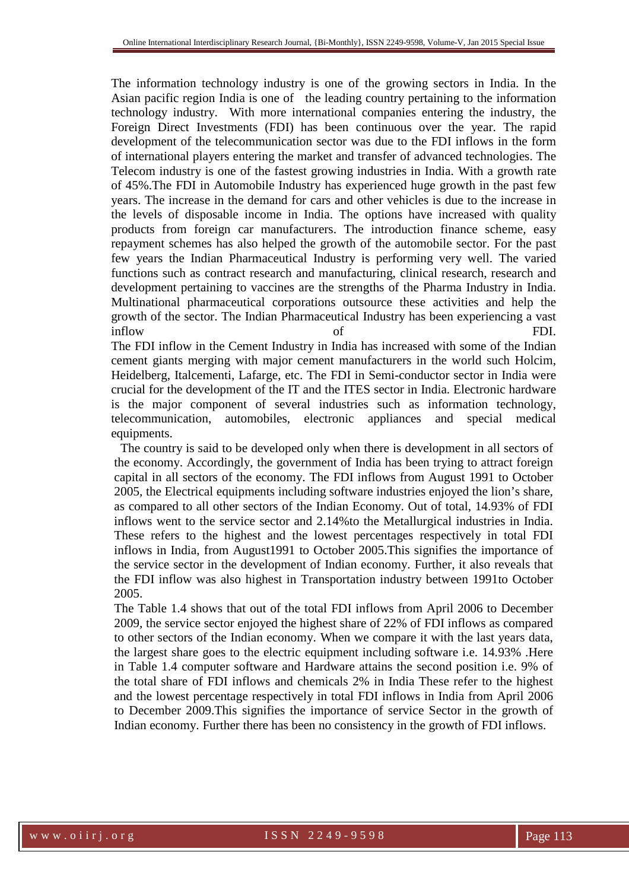The information technology industry is one of the growing sectors in India. In the Asian pacific region India is one of the leading country pertaining to the information technology industry. With more international companies entering the industry, the Foreign Direct Investments (FDI) has been continuous over the year. The rapid development of the telecommunication sector was due to the FDI inflows in the form of international players entering the market and transfer of advanced technologies. The Telecom industry is one of the fastest growing industries in India. With a growth rate of 45%.The FDI in Automobile Industry has experienced huge growth in the past few years. The increase in the demand for cars and other vehicles is due to the increase in the levels of disposable income in India. The options have increased with quality products from foreign car manufacturers. The introduction finance scheme, easy repayment schemes has also helped the growth of the automobile sector. For the past few years the Indian Pharmaceutical Industry is performing very well. The varied functions such as contract research and manufacturing, clinical research, research and development pertaining to vaccines are the strengths of the Pharma Industry in India. Multinational pharmaceutical corporations outsource these activities and help the growth of the sector. The Indian Pharmaceutical Industry has been experiencing a vast inflow of FDI.

The FDI inflow in the Cement Industry in India has increased with some of the Indian cement giants merging with major cement manufacturers in the world such Holcim, Heidelberg, Italcementi, Lafarge, etc. The FDI in Semi-conductor sector in India were crucial for the development of the IT and the ITES sector in India. Electronic hardware is the major component of several industries such as information technology, telecommunication, automobiles, electronic appliances and special medical equipments.

 The country is said to be developed only when there is development in all sectors of the economy. Accordingly, the government of India has been trying to attract foreign capital in all sectors of the economy. The FDI inflows from August 1991 to October 2005, the Electrical equipments including software industries enjoyed the lion's share, as compared to all other sectors of the Indian Economy. Out of total, 14.93% of FDI inflows went to the service sector and 2.14%to the Metallurgical industries in India. These refers to the highest and the lowest percentages respectively in total FDI inflows in India, from August1991 to October 2005.This signifies the importance of the service sector in the development of Indian economy. Further, it also reveals that the FDI inflow was also highest in Transportation industry between 1991to October 2005.

The Table 1.4 shows that out of the total FDI inflows from April 2006 to December 2009, the service sector enjoyed the highest share of 22% of FDI inflows as compared to other sectors of the Indian economy. When we compare it with the last years data, the largest share goes to the electric equipment including software i.e. 14.93% .Here in Table 1.4 computer software and Hardware attains the second position i.e. 9% of the total share of FDI inflows and chemicals 2% in India These refer to the highest and the lowest percentage respectively in total FDI inflows in India from April 2006 to December 2009.This signifies the importance of service Sector in the growth of Indian economy. Further there has been no consistency in the growth of FDI inflows.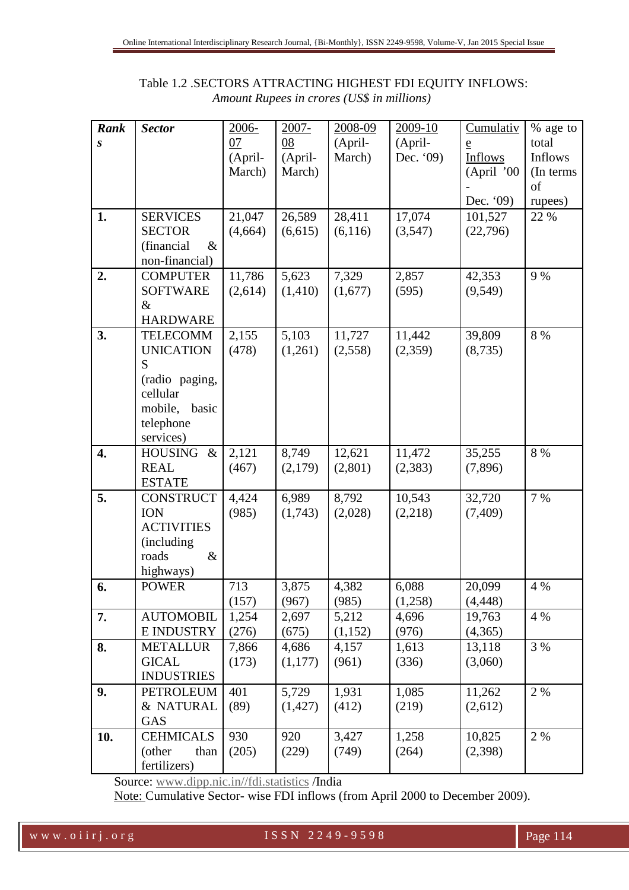| Rank             | <b>Sector</b>          | 2006-   | $2007 -$ | 2008-09  | 2009-10   | Cumulativ      | % age to   |
|------------------|------------------------|---------|----------|----------|-----------|----------------|------------|
| $\boldsymbol{S}$ |                        | 07      | 08       | (April-  | (April-   | $\overline{e}$ | total      |
|                  |                        | (April- | (April-  | March)   | Dec. '09) | <b>Inflows</b> | Inflows    |
|                  |                        | March)  | March)   |          |           | (April '00     | (In terms) |
|                  |                        |         |          |          |           |                | of         |
|                  |                        |         |          |          |           | Dec. '09)      | rupees)    |
| 1.               | <b>SERVICES</b>        | 21,047  | 26,589   | 28,411   | 17,074    | 101,527        | 22 %       |
|                  | <b>SECTOR</b>          | (4,664) | (6,615)  | (6,116)  | (3,547)   | (22,796)       |            |
|                  | $\&$<br>(financial     |         |          |          |           |                |            |
|                  | non-financial)         |         |          |          |           |                |            |
| 2.               | <b>COMPUTER</b>        | 11,786  | 5,623    | 7,329    | 2,857     | 42,353         | 9 %        |
|                  | <b>SOFTWARE</b>        | (2,614) | (1,410)  | (1,677)  | (595)     | (9,549)        |            |
|                  | $\&$                   |         |          |          |           |                |            |
|                  | <b>HARDWARE</b>        |         |          |          |           |                |            |
| 3.               | <b>TELECOMM</b>        | 2,155   | 5,103    | 11,727   | 11,442    | 39,809         | 8 %        |
|                  | <b>UNICATION</b>       | (478)   | (1,261)  | (2, 558) | (2,359)   | (8,735)        |            |
|                  | S                      |         |          |          |           |                |            |
|                  | (radio paging,         |         |          |          |           |                |            |
|                  | cellular               |         |          |          |           |                |            |
|                  | mobile,<br>basic       |         |          |          |           |                |            |
|                  | telephone              |         |          |          |           |                |            |
|                  | services)              |         |          |          |           |                |            |
| 4.               | <b>HOUSING</b><br>$\&$ | 2,121   | 8,749    | 12,621   | 11,472    | 35,255         | 8 %        |
|                  | <b>REAL</b>            | (467)   | (2,179)  | (2,801)  | (2, 383)  | (7,896)        |            |
|                  | <b>ESTATE</b>          |         |          |          |           |                |            |
| 5.               | <b>CONSTRUCT</b>       | 4,424   | 6,989    | 8,792    | 10,543    | 32,720         | 7 %        |
|                  | <b>ION</b>             | (985)   | (1,743)  | (2,028)  | (2,218)   | (7,409)        |            |
|                  | <b>ACTIVITIES</b>      |         |          |          |           |                |            |
|                  | (including             |         |          |          |           |                |            |
|                  | $\&$<br>roads          |         |          |          |           |                |            |
|                  | highways)              |         |          |          |           |                |            |
| 6.               | <b>POWER</b>           | 713     | 3,875    | 4,382    | 6,088     | 20,099         | 4 %        |
|                  |                        | (157)   | (967)    | (985)    | (1,258)   | (4, 448)       |            |
| 7.               | <b>AUTOMOBIL</b>       | 1,254   | 2,697    | 5,212    | 4,696     | 19,763         | 4 %        |
|                  | <b>E INDUSTRY</b>      | (276)   | (675)    | (1,152)  | (976)     | (4,365)        |            |
| 8.               | <b>METALLUR</b>        | 7,866   | 4,686    | 4,157    | 1,613     | 13,118         | 3 %        |
|                  | <b>GICAL</b>           | (173)   | (1,177)  | (961)    | (336)     | (3,060)        |            |
|                  | <b>INDUSTRIES</b>      |         |          |          |           |                |            |
| 9.               | <b>PETROLEUM</b>       | 401     | 5,729    | 1,931    | 1,085     | 11,262         | 2 %        |
|                  | & NATURAL              | (89)    | (1,427)  | (412)    | (219)     | (2,612)        |            |
|                  |                        |         |          |          |           |                |            |
|                  | GAS                    |         |          |          |           |                |            |
| 10.              | <b>CEHMICALS</b>       | 930     | 920      | 3,427    | 1,258     | 10,825         | 2 %        |
|                  | (other<br>than         | (205)   | (229)    | (749)    | (264)     | (2,398)        |            |

## Table 1.2 .SECTORS ATTRACTING HIGHEST FDI EQUITY INFLOWS:  *Amount Rupees in crores (US\$ in millions)*

Source: www.dipp.nic.in//fdi.statistics /India

Note: Cumulative Sector- wise FDI inflows (from April 2000 to December 2009).